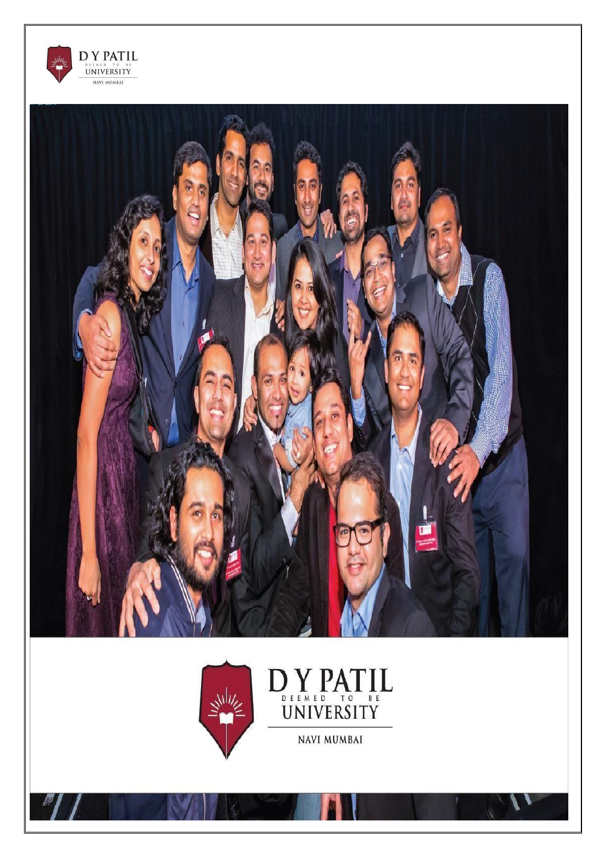



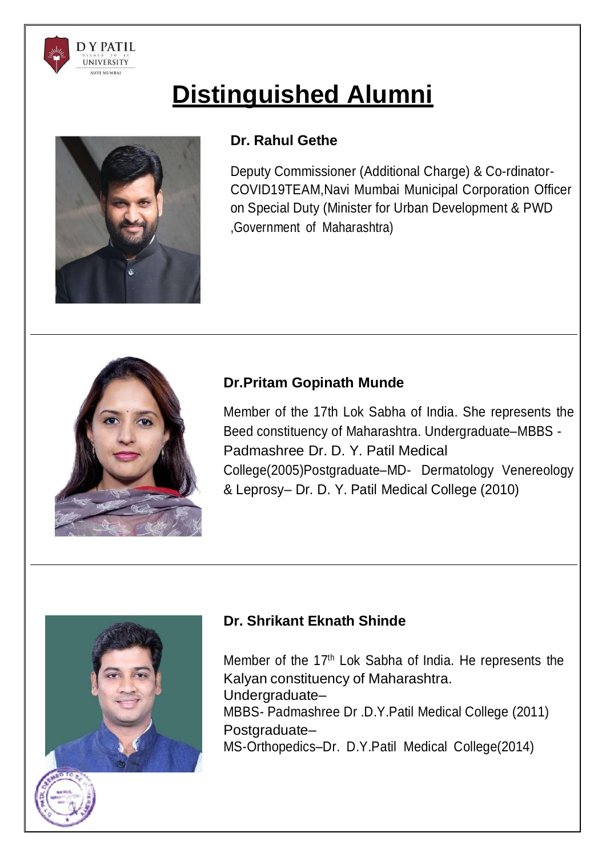

# **Distinguished Alumni**



# **Dr. Rahul Gethe**

Deputy Commissioner (Additional Charge) & Co-rdinator-COVID19TEAM,Navi Mumbai Municipal Corporation Officer on Special Duty (Minister for Urban Development & PWD ,Government of Maharashtra)



# **Dr.Pritam Gopinath Munde**

Member of the 17th Lok Sabha of India. She represents the Beed constituency of Maharashtra. Undergraduate–MBBS - Padmashree Dr. D. Y. Patil Medical College(2005)Postgraduate–MD- Dermatology Venereology & Leprosy– Dr. D. Y. Patil Medical College (2010)



# **Dr. Shrikant Eknath Shinde**

Member of the 17th Lok Sabha of India. He represents the Kalyan constituency of Maharashtra. Undergraduate– MBBS- Padmashree Dr .D.Y.Patil Medical College (2011) Postgraduate– MS-Orthopedics–Dr. D.Y.Patil Medical College(2014)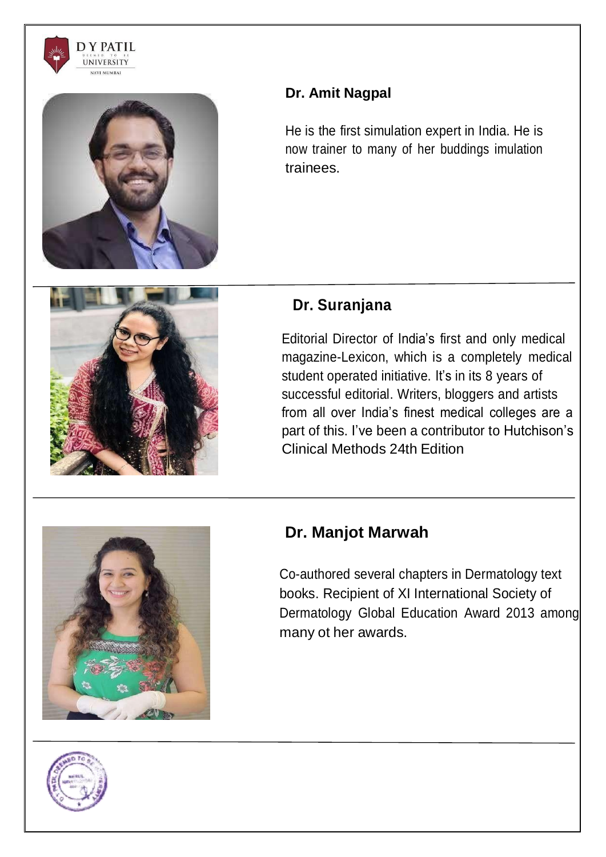



# **Dr. Amit Nagpal**

He is the first simulation expert in India. He is now trainer to many of her buddings imulation trainees.



# **Dr. Suranjana**

Editorial Director of India's first and only medical magazine-Lexicon, which is a completely medical student operated initiative. It's in its 8 years of successful editorial. Writers, bloggers and artists from all over India's finest medical colleges are a part of this. I've been a contributor to Hutchison's Clinical Methods 24th Edition



# **Dr. Manjot Marwah**

Co-authored several chapters in Dermatology text books. Recipient of XI International Society of Dermatology Global Education Award 2013 among many ot her awards.

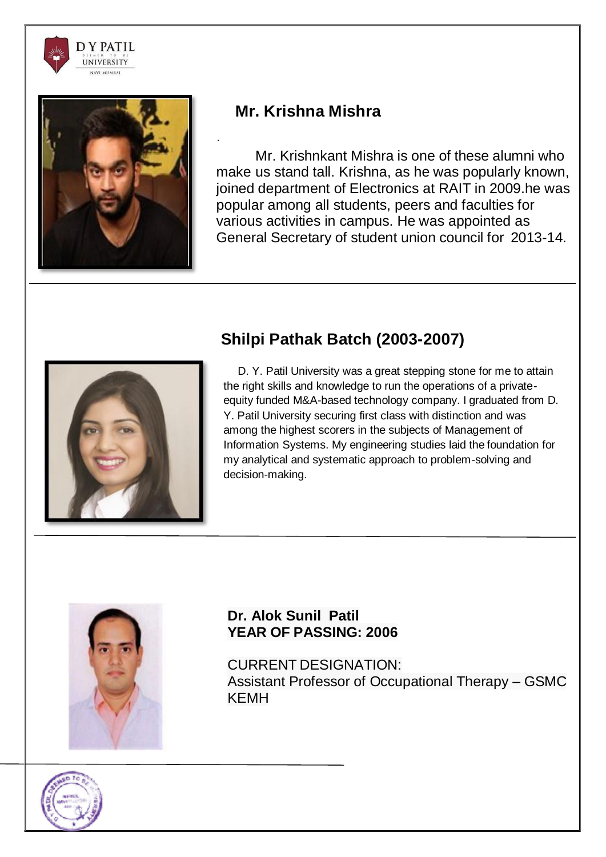



# **Mr. Krishna Mishra**

.

Mr. Krishnkant Mishra is one of these alumni who make us stand tall. Krishna, as he was popularly known, joined department of Electronics at RAIT in 2009.he was popular among all students, peers and faculties for various activities in campus. He was appointed as General Secretary of student union council for 2013-14.



# **Shilpi Pathak Batch (2003-2007)**

D. Y. Patil University was a great stepping stone for me to attain the right skills and knowledge to run the operations of a privateequity funded M&A-based technology company. I graduated from D. Y. Patil University securing first class with distinction and was among the highest scorers in the subjects of Management of Information Systems. My engineering studies laid the foundation for my analytical and systematic approach to problem-solving and decision-making.



# **Dr. Alok Sunil Patil YEAR OF PASSING: 2006**

CURRENT DESIGNATION: Assistant Professor of Occupational Therapy – GSMC KEMH

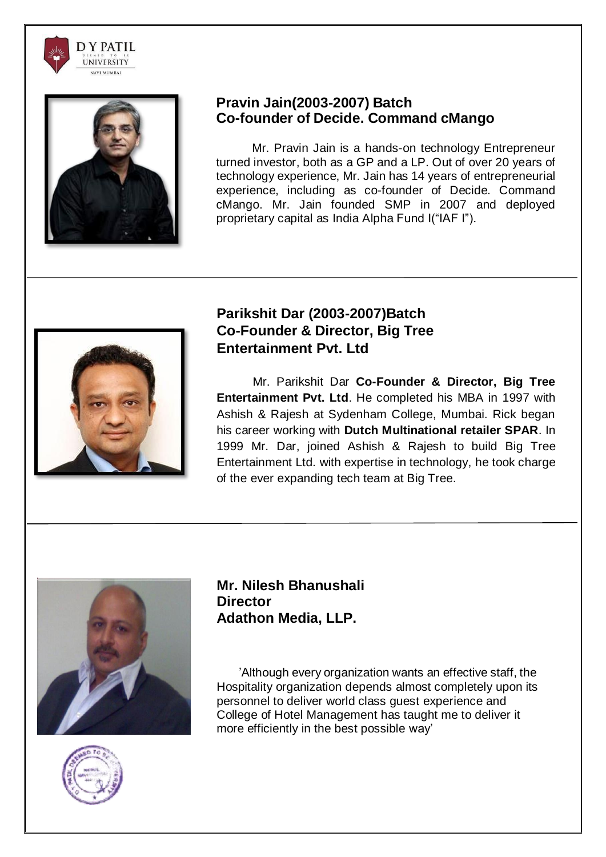



#### **Pravin Jain(2003-2007) Batch Co-founder of Decide. Command cMango**

Mr. Pravin Jain is a hands-on technology Entrepreneur turned investor, both as a GP and a LP. Out of over 20 years of technology experience, Mr. Jain has 14 years of entrepreneurial experience, including as co-founder of Decide. Command cMango. Mr. Jain founded SMP in 2007 and deployed proprietary capital as India Alpha Fund I("IAF I").



# **Parikshit Dar (2003-2007)Batch Co-Founder & Director, Big Tree Entertainment Pvt. Ltd**

Mr. Parikshit Dar **Co-Founder & Director, Big Tree Entertainment Pvt. Ltd**. He completed his MBA in 1997 with Ashish & Rajesh at Sydenham College, Mumbai. Rick began his career working with **Dutch Multinational retailer SPAR**. In 1999 Mr. Dar, joined Ashish & Rajesh to build Big Tree Entertainment Ltd. with expertise in technology, he took charge of the ever expanding tech team at Big Tree.





**Mr. Nilesh Bhanushali Director Adathon Media, LLP.**

'Although every organization wants an effective staff, the Hospitality organization depends almost completely upon its personnel to deliver world class guest experience and College of Hotel Management has taught me to deliver it more efficiently in the best possible way'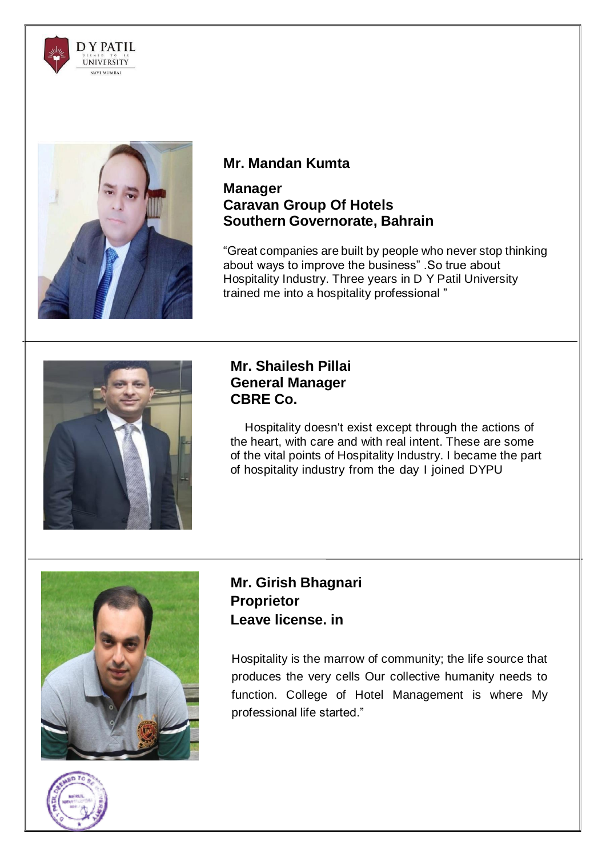



# **Mr. Mandan Kumta**

#### **Manager Caravan Group Of Hotels Southern Governorate, Bahrain**

"Great companies are built by people who never stop thinking about ways to improve the business" .So true about Hospitality Industry. Three years in D Y Patil University trained me into a hospitality professional "



## **Mr. Shailesh Pillai General Manager CBRE Co.**

Hospitality doesn't exist except through the actions of the heart, with care and with real intent. These are some of the vital points of Hospitality Industry. I became the part of hospitality industry from the day I joined DYPU



# **Mr. Girish Bhagnari Proprietor Leave [license.](http://leavelicense.in/) in**

Hospitality is the marrow of community; the life source that produces the very cells Our collective humanity needs to function. College of Hotel Management is where My professional life started."

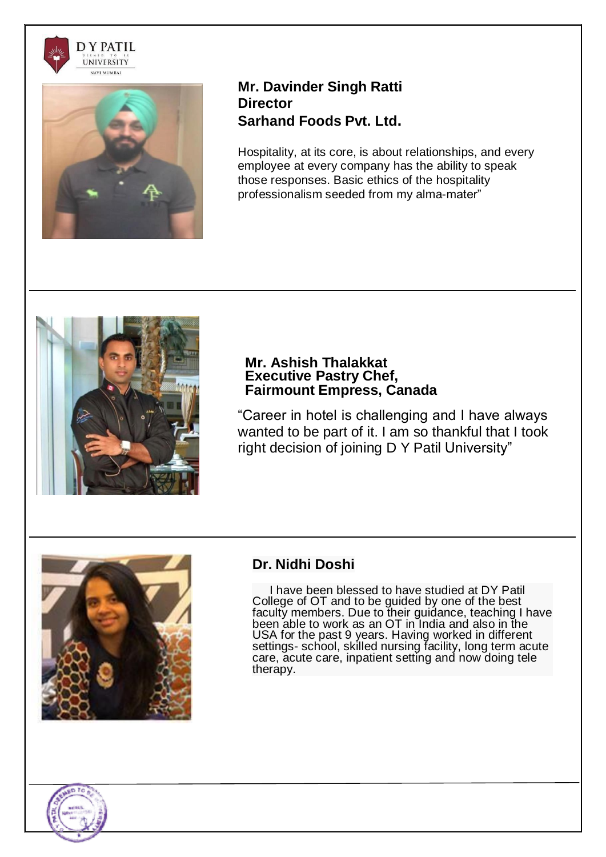



#### **Mr. Davinder Singh Ratti Director Sarhand Foods Pvt. Ltd.**

Hospitality, at its core, is about relationships, and every employee at every company has the ability to speak those responses. Basic ethics of the hospitality professionalism seeded from my alma-mater"



#### **Mr. Ashish Thalakkat Executive Pastry Chef, Fairmount Empress, Canada**

"Career in hotel is challenging and I have always wanted to be part of it. I am so thankful that I took right decision of joining D Y Patil University"



# **Dr. Nidhi Doshi**

I have been blessed to have studied at DY Patil College of OT and to be guided by one of the best faculty members. Due to their guidance, teaching I have been able to work as an OT in India and also in the USA for the past 9 years. Having worked in different settings- school, skilled nursing facility, long term acute care, acute care, inpatient setting and now doing tele therapy.

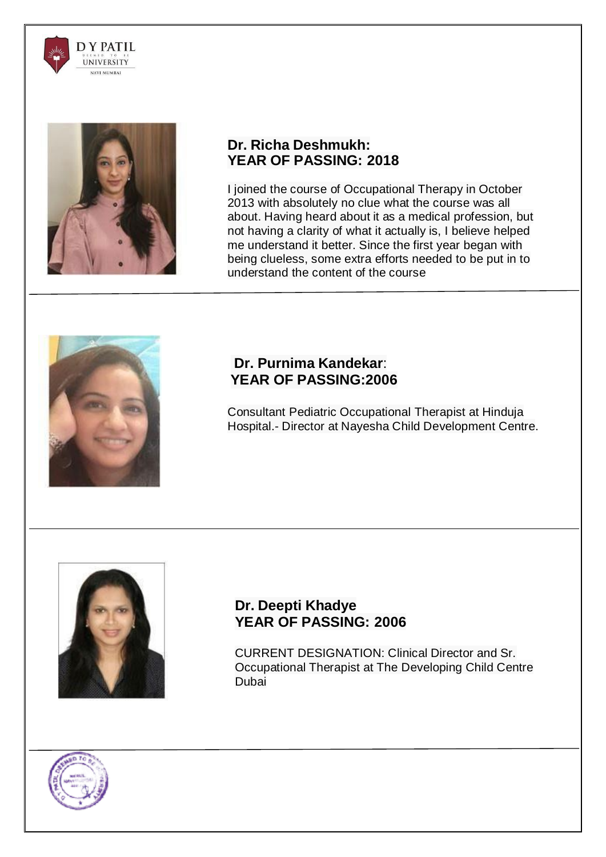



# **Dr. Richa Deshmukh: YEAR OF PASSING: 2018**

I joined the course of Occupational Therapy in October 2013 with absolutely no clue what the course was all about. Having heard about it as a medical profession, but not having a clarity of what it actually is, I believe helped me understand it better. Since the first year began with being clueless, some extra efforts needed to be put in to understand the content of the course



## **Dr. Purnima Kandekar**: **YEAR OF PASSING:2006**

Consultant Pediatric Occupational Therapist at Hinduja Hospital.- Director at Nayesha Child Development Centre.



## **Dr. Deepti Khadye YEAR OF PASSING: 2006**

CURRENT DESIGNATION: Clinical Director and Sr. Occupational Therapist at The Developing Child Centre Dubai